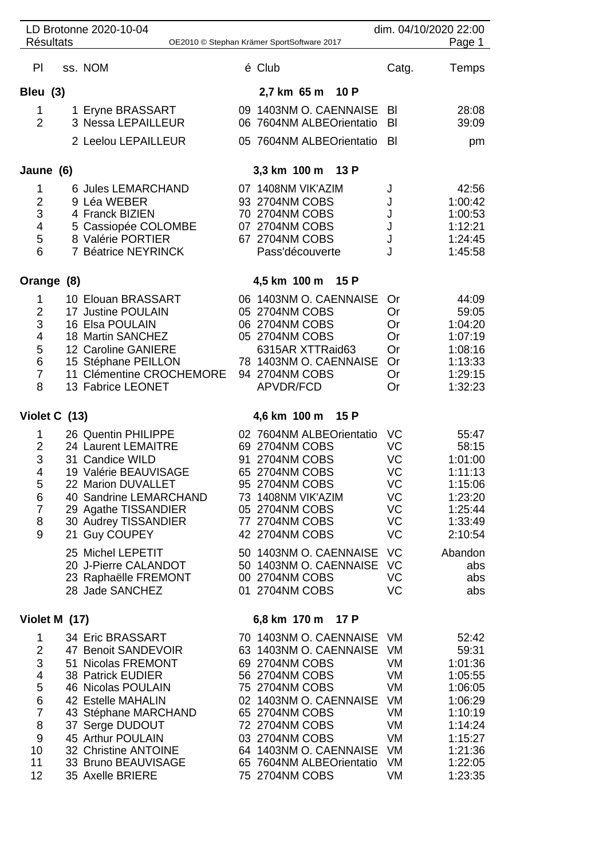|                                                                                               |                  | LD Brotonne 2020-10-04                                                                                                                                                                                                                                            |                      |                                                                                                                                                                                                                                                                |                                                                      | dim. 04/10/2020 22:00                                                                                                        |
|-----------------------------------------------------------------------------------------------|------------------|-------------------------------------------------------------------------------------------------------------------------------------------------------------------------------------------------------------------------------------------------------------------|----------------------|----------------------------------------------------------------------------------------------------------------------------------------------------------------------------------------------------------------------------------------------------------------|----------------------------------------------------------------------|------------------------------------------------------------------------------------------------------------------------------|
|                                                                                               | <b>Résultats</b> |                                                                                                                                                                                                                                                                   |                      | OE2010 © Stephan Krämer SportSoftware 2017                                                                                                                                                                                                                     |                                                                      | Page 1                                                                                                                       |
| PI                                                                                            |                  | ss. NOM                                                                                                                                                                                                                                                           |                      | é Club                                                                                                                                                                                                                                                         | Catg.                                                                | Temps                                                                                                                        |
| Bleu (3)                                                                                      |                  |                                                                                                                                                                                                                                                                   |                      | 2,7 km 65 m 10 P                                                                                                                                                                                                                                               |                                                                      |                                                                                                                              |
| 1<br>$\overline{2}$                                                                           |                  | 1 Eryne BRASSART<br>3 Nessa LEPAILLEUR                                                                                                                                                                                                                            |                      | 09 1403NM O. CAENNAISE<br>06 7604NM ALBEOrientatio                                                                                                                                                                                                             | BI<br>BI                                                             | 28:08<br>39:09                                                                                                               |
|                                                                                               |                  | 2 Leelou LEPAILLEUR                                                                                                                                                                                                                                               |                      | 05 7604NM ALBEOrientatio                                                                                                                                                                                                                                       | BI                                                                   | pm                                                                                                                           |
| Jaune (6)                                                                                     |                  |                                                                                                                                                                                                                                                                   | 3,3 km 100 m<br>13 P |                                                                                                                                                                                                                                                                |                                                                      |                                                                                                                              |
| 1<br>$\overline{c}$<br>3<br>4<br>5<br>6                                                       |                  | 6 Jules LEMARCHAND<br>9 Léa WEBER<br>4 Franck BIZIEN<br>5 Cassiopée COLOMBE<br>8 Valérie PORTIER<br>7 Béatrice NEYRINCK                                                                                                                                           |                      | 07 1408NM VIK'AZIM<br>93 2704NM COBS<br>70 2704NM COBS<br>07 2704NM COBS<br>67 2704NM COBS<br>Pass'découverte                                                                                                                                                  | J<br>J<br>J<br>J                                                     | 42:56<br>1:00:42<br>1:00:53<br>1:12:21<br>1:24:45<br>1:45:58                                                                 |
|                                                                                               | Orange (8)       |                                                                                                                                                                                                                                                                   |                      | 4,5 km 100 m<br>15 P                                                                                                                                                                                                                                           |                                                                      |                                                                                                                              |
| 1<br>$\frac{2}{3}$<br>$\overline{\mathbf{4}}$<br>5<br>$\,$ 6 $\,$<br>$\overline{7}$<br>8      |                  | 10 Elouan BRASSART<br>17 Justine POULAIN<br>16 Elsa POULAIN<br>18 Martin SANCHEZ<br>12 Caroline GANIERE<br>15 Stéphane PEILLON<br>11 Clémentine CROCHEMORE<br>13 Fabrice LEONET                                                                                   |                      | 06 1403NM O. CAENNAISE<br>05 2704NM COBS<br>06 2704NM COBS<br>05 2704NM COBS<br>6315AR XTTRaid63<br>78 1403NM O. CAENNAISE<br>94 2704NM COBS<br>APVDR/FCD                                                                                                      | Or<br>Or<br>Or<br>Or<br>Or<br>Or<br>Or<br>Or                         | 44:09<br>59:05<br>1:04:20<br>1:07:19<br>1:08:16<br>1:13:33<br>1:29:15<br>1:32:23                                             |
| Violet C (13)                                                                                 |                  |                                                                                                                                                                                                                                                                   | 4,6 km 100 m<br>15 P |                                                                                                                                                                                                                                                                |                                                                      |                                                                                                                              |
| 1<br>$\overline{2}$<br>3<br>4<br>5<br>6<br>$\overline{7}$<br>8<br>9                           |                  | 26 Quentin PHILIPPE<br>24 Laurent LEMAITRE<br>31 Candice WILD<br>19 Valérie BEAUVISAGE<br>22 Marion DUVALLET<br>40 Sandrine LEMARCHAND<br>29 Agathe TISSANDIER<br>30 Audrey TISSANDIER<br>21 Guy COUPEY                                                           | 91                   | 02 7604NM ALBEOrientatio<br>69 2704NM COBS<br>2704NM COBS<br>65 2704NM COBS<br>95 2704NM COBS<br>73 1408NM VIK'AZIM<br>05 2704NM COBS<br>77 2704NM COBS<br>42 2704NM COBS                                                                                      | VC<br>VC<br>VC<br>VC<br>VC<br>VC<br>VC<br>VC<br>VC                   | 55:47<br>58:15<br>1:01:00<br>1:11:13<br>1:15:06<br>1:23:20<br>1:25:44<br>1:33:49<br>2:10:54                                  |
|                                                                                               |                  | 25 Michel LEPETIT<br>20 J-Pierre CALANDOT<br>23 Raphaëlle FREMONT<br>28 Jade SANCHEZ                                                                                                                                                                              |                      | 50 1403NM O. CAENNAISE<br>50 1403NM O. CAENNAISE<br>00 2704NM COBS<br>01 2704NM COBS                                                                                                                                                                           | VC<br>VC<br>VC<br>VC                                                 | Abandon<br>abs<br>abs<br>abs                                                                                                 |
|                                                                                               | Violet M (17)    |                                                                                                                                                                                                                                                                   |                      | 6,8 km 170 m<br>17 P                                                                                                                                                                                                                                           |                                                                      |                                                                                                                              |
| 1<br>$\overline{2}$<br>3<br>4<br>5<br>$\,6$<br>$\overline{7}$<br>8<br>$9\,$<br>10<br>11<br>12 |                  | 34 Eric BRASSART<br>47 Benoit SANDEVOIR<br>51 Nicolas FREMONT<br>38 Patrick EUDIER<br>46 Nicolas POULAIN<br>42 Estelle MAHALIN<br>43 Stéphane MARCHAND<br>37 Serge DUDOUT<br>45 Arthur POULAIN<br>32 Christine ANTOINE<br>33 Bruno BEAUVISAGE<br>35 Axelle BRIERE |                      | 70 1403NM O. CAENNAISE<br>63 1403NM O. CAENNAISE<br>69 2704NM COBS<br>56 2704NM COBS<br>75 2704NM COBS<br>02 1403NM O. CAENNAISE<br>65 2704NM COBS<br>72 2704NM COBS<br>03 2704NM COBS<br>64 1403NM O. CAENNAISE<br>65 7604NM ALBEOrientatio<br>75 2704NM COBS | VM<br>VM<br>VM<br>VM<br>VM<br>VM<br>VM<br>VM<br>VM<br>VM<br>VM<br>VM | 52:42<br>59:31<br>1:01:36<br>1:05:55<br>1:06:05<br>1:06:29<br>1:10:19<br>1:14:24<br>1:15:27<br>1:21:36<br>1:22:05<br>1:23:35 |